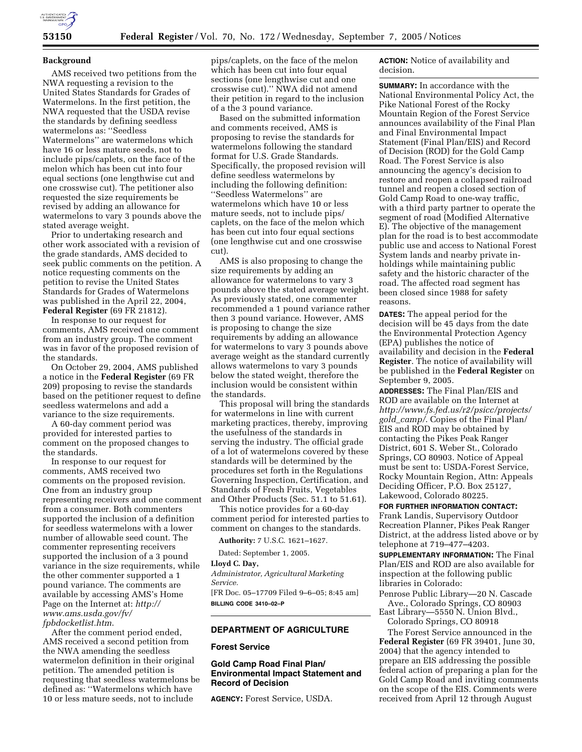

#### **Background**

AMS received two petitions from the NWA requesting a revision to the United States Standards for Grades of Watermelons. In the first petition, the NWA requested that the USDA revise the standards by defining seedless watermelons as: ''Seedless Watermelons'' are watermelons which have 16 or less mature seeds, not to include pips/caplets, on the face of the melon which has been cut into four equal sections (one lengthwise cut and one crosswise cut). The petitioner also requested the size requirements be revised by adding an allowance for watermelons to vary 3 pounds above the stated average weight.

Prior to undertaking research and other work associated with a revision of the grade standards, AMS decided to seek public comments on the petition. A notice requesting comments on the petition to revise the United States Standards for Grades of Watermelons was published in the April 22, 2004, **Federal Register** (69 FR 21812).

In response to our request for comments, AMS received one comment from an industry group. The comment was in favor of the proposed revision of the standards.

On October 29, 2004, AMS published a notice in the **Federal Register** (69 FR 209) proposing to revise the standards based on the petitioner request to define seedless watermelons and add a variance to the size requirements.

A 60-day comment period was provided for interested parties to comment on the proposed changes to the standards.

In response to our request for comments, AMS received two comments on the proposed revision. One from an industry group representing receivers and one comment from a consumer. Both commenters supported the inclusion of a definition for seedless watermelons with a lower number of allowable seed count. The commenter representing receivers supported the inclusion of a 3 pound variance in the size requirements, while the other commenter supported a 1 pound variance. The comments are available by accessing AMS's Home Page on the Internet at: *http:// www.ams.usda.gov/fv/ fpbdocketlist.htm*.

After the comment period ended, AMS received a second petition from the NWA amending the seedless watermelon definition in their original petition. The amended petition is requesting that seedless watermelons be defined as: ''Watermelons which have 10 or less mature seeds, not to include

pips/caplets, on the face of the melon which has been cut into four equal sections (one lengthwise cut and one crosswise cut).'' NWA did not amend their petition in regard to the inclusion of a the 3 pound variance.

Based on the submitted information and comments received, AMS is proposing to revise the standards for watermelons following the standard format for U.S. Grade Standards. Specifically, the proposed revision will define seedless watermelons by including the following definition: ''Seedless Watermelons'' are watermelons which have 10 or less mature seeds, not to include pips/ caplets, on the face of the melon which has been cut into four equal sections (one lengthwise cut and one crosswise cut).

AMS is also proposing to change the size requirements by adding an allowance for watermelons to vary 3 pounds above the stated average weight. As previously stated, one commenter recommended a 1 pound variance rather then 3 pound variance. However, AMS is proposing to change the size requirements by adding an allowance for watermelons to vary 3 pounds above average weight as the standard currently allows watermelons to vary 3 pounds below the stated weight, therefore the inclusion would be consistent within the standards.

This proposal will bring the standards for watermelons in line with current marketing practices, thereby, improving the usefulness of the standards in serving the industry. The official grade of a lot of watermelons covered by these standards will be determined by the procedures set forth in the Regulations Governing Inspection, Certification, and Standards of Fresh Fruits, Vegetables and Other Products (Sec. 51.1 to 51.61).

This notice provides for a 60-day comment period for interested parties to comment on changes to the standards.

**Authority:** 7 U.S.C. 1621–1627.

Dated: September 1, 2005.

# **Lloyd C. Day,**

*Administrator, Agricultural Marketing Service.*  [FR Doc. 05–17709 Filed 9–6–05; 8:45 am]

**BILLING CODE 3410–02–P** 

### **DEPARTMENT OF AGRICULTURE**

# **Forest Service**

# **Gold Camp Road Final Plan/ Environmental Impact Statement and Record of Decision**

**AGENCY:** Forest Service, USDA.

**ACTION:** Notice of availability and decision.

**SUMMARY:** In accordance with the National Environmental Policy Act, the Pike National Forest of the Rocky Mountain Region of the Forest Service announces availability of the Final Plan and Final Environmental Impact Statement (Final Plan/EIS) and Record of Decision (ROD) for the Gold Camp Road. The Forest Service is also announcing the agency's decision to restore and reopen a collapsed railroad tunnel and reopen a closed section of Gold Camp Road to one-way traffic, with a third party partner to operate the segment of road (Modified Alternative E). The objective of the management plan for the road is to best accommodate public use and access to National Forest System lands and nearby private inholdings while maintaining public safety and the historic character of the road. The affected road segment has been closed since 1988 for safety reasons.

**DATES:** The appeal period for the decision will be 45 days from the date the Environmental Protection Agency (EPA) publishes the notice of availability and decision in the **Federal Register**. The notice of availability will be published in the **Federal Register** on September 9, 2005.

**ADDRESSES:** The Final Plan/EIS and ROD are available on the Internet at *http://www.fs.fed.us/r2/psicc/projects/ gold*\_*camp/*. Copies of the Final Plan/ EIS and ROD may be obtained by contacting the Pikes Peak Ranger District, 601 S. Weber St., Colorado Springs, CO 80903. Notice of Appeal must be sent to: USDA-Forest Service, Rocky Mountain Region, Attn: Appeals Deciding Officer, P.O. Box 25127, Lakewood, Colorado 80225.

**FOR FURTHER INFORMATION CONTACT:**  Frank Landis, Supervisory Outdoor Recreation Planner, Pikes Peak Ranger District, at the address listed above or by telephone at 719–477–4203.

**SUPPLEMENTARY INFORMATION:** The Final Plan/EIS and ROD are also available for inspection at the following public libraries in Colorado:

Penrose Public Library—20 N. Cascade Ave., Colorado Springs, CO 80903

East Library—5550 N. Union Blvd., Colorado Springs, CO 80918

The Forest Service announced in the **Federal Register** (69 FR 39401, June 30, 2004) that the agency intended to prepare an EIS addressing the possible federal action of preparing a plan for the Gold Camp Road and inviting comments on the scope of the EIS. Comments were received from April 12 through August